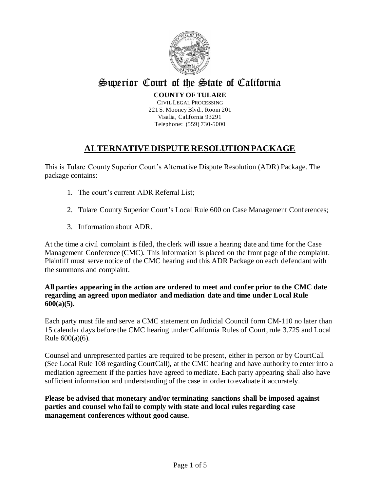

# Superior Court of the State of California

#### **COUNTY OF TULARE**

CIVIL LEGAL PROCESSING 221 S. Mooney Blvd., Room 201 Visalia, California 93291 Telephone: (559) 730-5000

## **ALTERNATIVE DISPUTE RESOLUTION PACKAGE**

This is Tulare County Superior Court's Alternative Dispute Resolution (ADR) Package. The package contains:

- 1. The court's current ADR Referral List;
- 2. Tulare County Superior Court's Local Rule 600 on Case Management Conferences;
- 3. Information about ADR.

At the time a civil complaint is filed, the clerk will issue a hearing date and time for the Case Management Conference (CMC). This information is placed on the front page of the complaint. Plaintiff must serve notice of the CMC hearing and this ADR Package on each defendant with the summons and complaint.

#### **All parties appearing in the action are ordered to meet and confer prior to the CMC date regarding an agreed upon mediator and mediation date and time under Local Rule 600(a)(5).**

Each party must file and serve a CMC statement on Judicial Council form CM-110 no later than 15 calendar days before the CMC hearing under California Rules of Court, rule 3.725 and Local Rule 600(a)(6).

Counsel and unrepresented parties are required to be present, either in person or by CourtCall (See Local Rule 108 regarding CourtCall), at the CMC hearing and have authority to enter into a mediation agreement if the parties have agreed to mediate. Each party appearing shall also have sufficient information and understanding of the case in order to evaluate it accurately.

**Please be advised that monetary and/or terminating sanctions shall be imposed against parties and counsel who fail to comply with state and local rules regarding case management conferences without good cause.**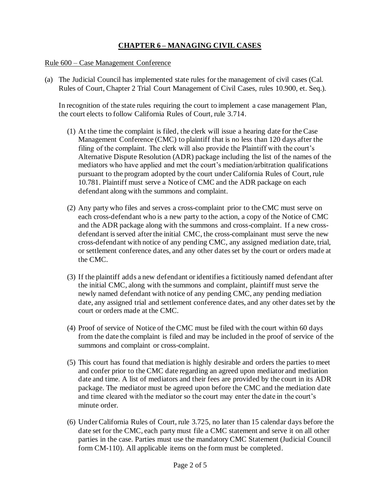### **CHAPTER 6 – MANAGING CIVIL CASES**

#### Rule 600 – Case Management Conference

(a) The Judicial Council has implemented state rules for the management of civil cases (Cal. Rules of Court, Chapter 2 Trial Court Management of Civil Cases, rules 10.900, et. Seq.).

In recognition of the state rules requiring the court to implement a case management Plan, the court elects to follow California Rules of Court, rule 3.714.

- (1) At the time the complaint is filed, the clerk will issue a hearing date for the Case Management Conference (CMC) to plaintiff that is no less than 120 days after the filing of the complaint. The clerk will also provide the Plaintiff with the court's Alternative Dispute Resolution (ADR) package including the list of the names of the mediators who have applied and met the court's mediation/arbitration qualifications pursuant to the program adopted by the court under California Rules of Court, rule 10.781. Plaintiff must serve a Notice of CMC and the ADR package on each defendant along with the summons and complaint.
- (2) Any party who files and serves a cross-complaint prior to the CMC must serve on each cross-defendant who is a new party to the action, a copy of the Notice of CMC and the ADR package along with the summons and cross-complaint. If a new crossdefendant is served after the initial CMC, the cross-complainant must serve the new cross-defendant with notice of any pending CMC, any assigned mediation date, trial, or settlement conference dates, and any other dates set by the court or orders made at the CMC.
- (3) If the plaintiff adds a new defendant or identifies a fictitiously named defendant after the initial CMC, along with the summons and complaint, plaintiff must serve the newly named defendant with notice of any pending CMC, any pending mediation date, any assigned trial and settlement conference dates, and any other dates set by the court or orders made at the CMC.
- (4) Proof of service of Notice of the CMC must be filed with the court within 60 days from the date the complaint is filed and may be included in the proof of service of the summons and complaint or cross-complaint.
- (5) This court has found that mediation is highly desirable and orders the parties to meet and confer prior to the CMC date regarding an agreed upon mediator and mediation date and time. A list of mediators and their fees are provided by the court in its ADR package. The mediator must be agreed upon before the CMC and the mediation date and time cleared with the mediator so the court may enter the date in the court's minute order.
- (6) Under California Rules of Court, rule 3.725, no later than 15 calendar days before the date set for the CMC, each party must file a CMC statement and serve it on all other parties in the case. Parties must use the mandatory CMC Statement (Judicial Council form CM-110). All applicable items on the form must be completed.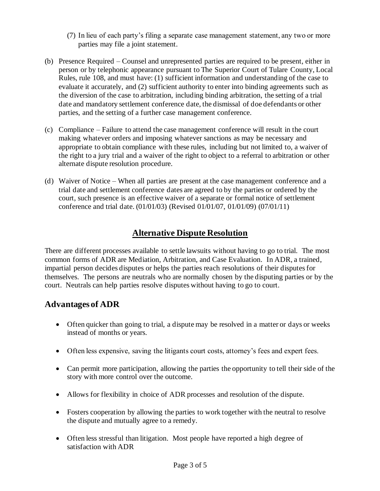- (7) In lieu of each party's filing a separate case management statement, any two or more parties may file a joint statement.
- (b) Presence Required Counsel and unrepresented parties are required to be present, either in person or by telephonic appearance pursuant to The Superior Court of Tulare County, Local Rules, rule 108, and must have: (1) sufficient information and understanding of the case to evaluate it accurately, and (2) sufficient authority to enter into binding agreements such as the diversion of the case to arbitration, including binding arbitration, the setting of a trial date and mandatory settlement conference date, the dismissal of doe defendants or other parties, and the setting of a further case management conference.
- (c) Compliance Failure to attend the case management conference will result in the court making whatever orders and imposing whatever sanctions as may be necessary and appropriate to obtain compliance with these rules, including but not limited to, a waiver of the right to a jury trial and a waiver of the right to object to a referral to arbitration or other alternate dispute resolution procedure.
- (d) Waiver of Notice When all parties are present at the case management conference and a trial date and settlement conference dates are agreed to by the parties or ordered by the court, such presence is an effective waiver of a separate or formal notice of settlement conference and trial date. (01/01/03) (Revised 01/01/07, 01/01/09) (07/01/11)

# **Alternative Dispute Resolution**

There are different processes available to settle lawsuits without having to go to trial. The most common forms of ADR are Mediation, Arbitration, and Case Evaluation. In ADR, a trained, impartial person decides disputes or helps the parties reach resolutions of their disputes for themselves. The persons are neutrals who are normally chosen by the disputing parties or by the court. Neutrals can help parties resolve disputes without having to go to court.

### **Advantages of ADR**

- Often quicker than going to trial, a dispute may be resolved in a matter or days or weeks instead of months or years.
- Often less expensive, saving the litigants court costs, attorney's fees and expert fees.
- Can permit more participation, allowing the parties the opportunity to tell their side of the story with more control over the outcome.
- Allows for flexibility in choice of ADR processes and resolution of the dispute.
- Fosters cooperation by allowing the parties to work together with the neutral to resolve the dispute and mutually agree to a remedy.
- Often less stressful than litigation. Most people have reported a high degree of satisfaction with ADR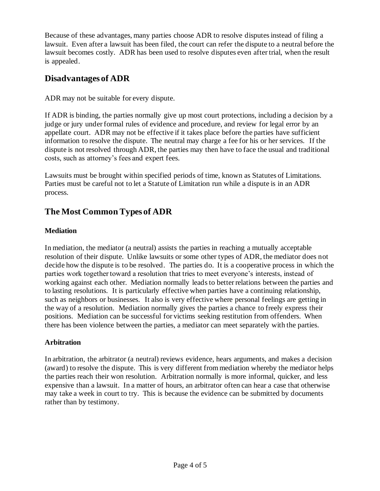Because of these advantages, many parties choose ADR to resolve disputes instead of filing a lawsuit. Even after a lawsuit has been filed, the court can refer the dispute to a neutral before the lawsuit becomes costly. ADR has been used to resolve disputes even after trial, when the result is appealed.

### **Disadvantages of ADR**

ADR may not be suitable for every dispute.

If ADR is binding, the parties normally give up most court protections, including a decision by a judge or jury under formal rules of evidence and procedure, and review for legal error by an appellate court. ADR may not be effective if it takes place before the parties have sufficient information to resolve the dispute. The neutral may charge a fee for his or her services. If the dispute is not resolved through ADR, the parties may then have to face the usual and traditional costs, such as attorney's fees and expert fees.

Lawsuits must be brought within specified periods of time, known as Statutes of Limitations. Parties must be careful not to let a Statute of Limitation run while a dispute is in an ADR process.

# **The Most Common Types of ADR**

### **Mediation**

In mediation, the mediator (a neutral) assists the parties in reaching a mutually acceptable resolution of their dispute. Unlike lawsuits or some other types of ADR, the mediator does not decide how the dispute is to be resolved. The parties do. It is a cooperative process in which the parties work together toward a resolution that tries to meet everyone's interests, instead of working against each other. Mediation normally leads to better relations between the parties and to lasting resolutions. It is particularly effective when parties have a continuing relationship, such as neighbors or businesses. It also is very effective where personal feelings are getting in the way of a resolution. Mediation normally gives the parties a chance to freely express their positions. Mediation can be successful for victims seeking restitution from offenders. When there has been violence between the parties, a mediator can meet separately with the parties.

### **Arbitration**

In arbitration, the arbitrator (a neutral) reviews evidence, hears arguments, and makes a decision (award) to resolve the dispute. This is very different from mediation whereby the mediator helps the parties reach their won resolution. Arbitration normally is more informal, quicker, and less expensive than a lawsuit. In a matter of hours, an arbitrator often can hear a case that otherwise may take a week in court to try. This is because the evidence can be submitted by documents rather than by testimony.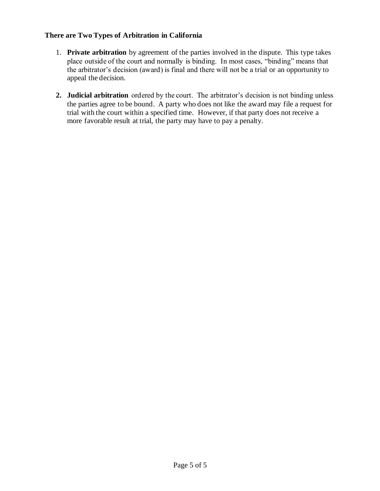#### **There are Two Types of Arbitration in California**

- 1. **Private arbitration** by agreement of the parties involved in the dispute. This type takes place outside of the court and normally is binding. In most cases, "binding" means that the arbitrator's decision (award) is final and there will not be a trial or an opportunity to appeal the decision.
- **2. Judicial arbitration** ordered by the court. The arbitrator's decision is not binding unless the parties agree to be bound. A party who does not like the award may file a request for trial with the court within a specified time. However, if that party does not receive a more favorable result at trial, the party may have to pay a penalty.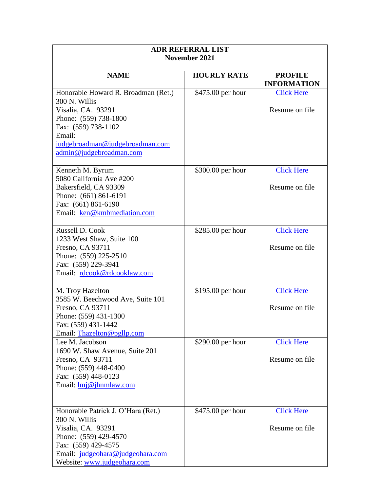| <b>ADR REFERRAL LIST</b>                     |                    |                                      |  |
|----------------------------------------------|--------------------|--------------------------------------|--|
| November 2021                                |                    |                                      |  |
|                                              |                    |                                      |  |
| <b>NAME</b>                                  | <b>HOURLY RATE</b> | <b>PROFILE</b><br><b>INFORMATION</b> |  |
| Honorable Howard R. Broadman (Ret.)          | \$475.00 per hour  | <b>Click Here</b>                    |  |
| 300 N. Willis                                |                    |                                      |  |
| Visalia, CA. 93291                           |                    | Resume on file                       |  |
| Phone: (559) 738-1800                        |                    |                                      |  |
| Fax: (559) 738-1102                          |                    |                                      |  |
| Email:                                       |                    |                                      |  |
| judgebroadman@judgebroadman.com              |                    |                                      |  |
| admin@judgebroadman.com                      |                    |                                      |  |
|                                              |                    |                                      |  |
| Kenneth M. Byrum                             | \$300.00 per hour  | <b>Click Here</b>                    |  |
| 5080 California Ave #200                     |                    |                                      |  |
| Bakersfield, CA 93309                        |                    | Resume on file                       |  |
| Phone: (661) 861-6191                        |                    |                                      |  |
| Fax: (661) 861-6190                          |                    |                                      |  |
| Email: ken@kmbmediation.com                  |                    |                                      |  |
|                                              |                    |                                      |  |
| Russell D. Cook                              | $$285.00$ per hour | <b>Click Here</b>                    |  |
| 1233 West Shaw, Suite 100                    |                    | Resume on file                       |  |
| Fresno, CA 93711                             |                    |                                      |  |
| Phone: (559) 225-2510<br>Fax: (559) 229-3941 |                    |                                      |  |
| Email: rdcook@rdcooklaw.com                  |                    |                                      |  |
|                                              |                    |                                      |  |
| M. Troy Hazelton                             | \$195.00 per hour  | <b>Click Here</b>                    |  |
| 3585 W. Beechwood Ave, Suite 101             |                    |                                      |  |
| Fresno, CA 93711                             |                    | Resume on file                       |  |
| Phone: (559) 431-1300                        |                    |                                      |  |
| Fax: (559) 431-1442                          |                    |                                      |  |
| Email: Thazelton@pgllp.com                   |                    |                                      |  |
| Lee M. Jacobson                              | \$290.00 per hour  | <b>Click Here</b>                    |  |
| 1690 W. Shaw Avenue, Suite 201               |                    |                                      |  |
| Fresno, CA 93711                             |                    | Resume on file                       |  |
| Phone: (559) 448-0400                        |                    |                                      |  |
| Fax: (559) 448-0123                          |                    |                                      |  |
| Email: <u>lmj@jhnmlaw.com</u>                |                    |                                      |  |
|                                              |                    |                                      |  |
| Honorable Patrick J. O'Hara (Ret.)           | \$475.00 per hour  | <b>Click Here</b>                    |  |
| 300 N. Willis                                |                    |                                      |  |
| Visalia, CA. 93291                           |                    | Resume on file                       |  |
| Phone: (559) 429-4570                        |                    |                                      |  |
| Fax: (559) 429-4575                          |                    |                                      |  |
| Email: judgeohara@judgeohara.com             |                    |                                      |  |
| Website: www.judgeohara.com                  |                    |                                      |  |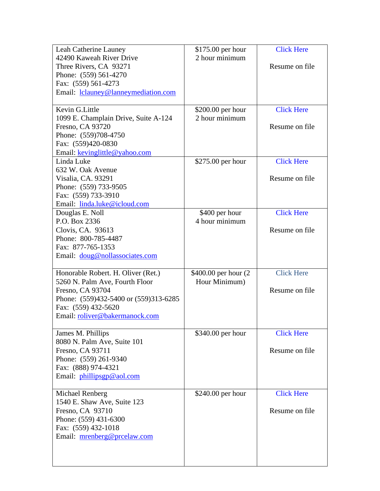| Leah Catherine Launey                 | $$175.00$ per hour    | <b>Click Here</b> |
|---------------------------------------|-----------------------|-------------------|
| 42490 Kaweah River Drive              | 2 hour minimum        |                   |
| Three Rivers, CA 93271                |                       | Resume on file    |
| Phone: (559) 561-4270                 |                       |                   |
| Fax: (559) 561-4273                   |                       |                   |
| Email: lclauney@lanneymediation.com   |                       |                   |
|                                       |                       |                   |
| Kevin G.Little                        | $$200.00$ per hour    | <b>Click Here</b> |
| 1099 E. Champlain Drive, Suite A-124  | 2 hour minimum        |                   |
| Fresno, CA 93720                      |                       | Resume on file    |
| Phone: (559)708-4750                  |                       |                   |
| Fax: (559)420-0830                    |                       |                   |
| Email: kevinglittle@yahoo.com         |                       |                   |
| Linda Luke                            | \$275.00 per hour     | <b>Click Here</b> |
| 632 W. Oak Avenue                     |                       |                   |
| Visalia, CA. 93291                    |                       | Resume on file    |
| Phone: (559) 733-9505                 |                       |                   |
| Fax: (559) 733-3910                   |                       |                   |
| Email: linda.luke@icloud.com          |                       |                   |
| Douglas E. Noll                       | \$400 per hour        | <b>Click Here</b> |
| P.O. Box 2336                         | 4 hour minimum        |                   |
| Clovis, CA. 93613                     |                       | Resume on file    |
| Phone: 800-785-4487                   |                       |                   |
| Fax: 877-765-1353                     |                       |                   |
| Email: doug@nollassociates.com        |                       |                   |
|                                       |                       |                   |
| Honorable Robert. H. Oliver (Ret.)    | \$400.00 per hour (2) | <b>Click Here</b> |
| 5260 N. Palm Ave, Fourth Floor        | Hour Minimum)         |                   |
| Fresno, CA 93704                      |                       | Resume on file    |
| Phone: (559)432-5400 or (559)313-6285 |                       |                   |
| Fax: (559) 432-5620                   |                       |                   |
| Email: roliver@bakermanock.com        |                       |                   |
|                                       |                       |                   |
| James M. Phillips                     | \$340.00 per hour     | <b>Click Here</b> |
| 8080 N. Palm Ave, Suite 101           |                       |                   |
| Fresno, CA 93711                      |                       | Resume on file    |
| Phone: (559) 261-9340                 |                       |                   |
| Fax: (888) 974-4321                   |                       |                   |
| Email: phillipsgp@aol.com             |                       |                   |
|                                       |                       |                   |
| Michael Renberg                       | \$240.00 per hour     | <b>Click Here</b> |
| 1540 E. Shaw Ave, Suite 123           |                       |                   |
| Fresno, CA 93710                      |                       | Resume on file    |
| Phone: (559) 431-6300                 |                       |                   |
| Fax: (559) 432-1018                   |                       |                   |
| Email: mrenberg@prcelaw.com           |                       |                   |
|                                       |                       |                   |
|                                       |                       |                   |
|                                       |                       |                   |